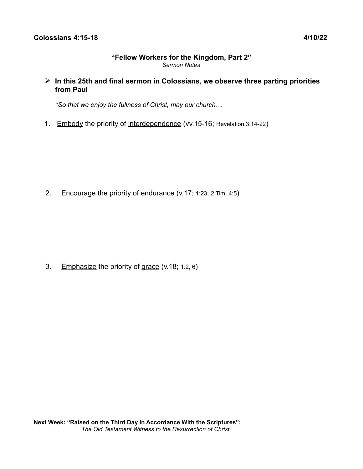#### **"Fellow Workers for the Kingdom, Part 2"** *Sermon Notes*

➢ **In this 25th and final sermon in Colossians, we observe three parting priorities from Paul**

 *\*So that we enjoy the fullness of Christ, may our church…*

1. Embody the priority of interdependence (vv. 15-16; Revelation 3:14-22)

2. Encourage the priority of endurance (v.17; 1:23; 2 Tim. 4:5)

3. Emphasize the priority of grace (v.18; 1:2, 6)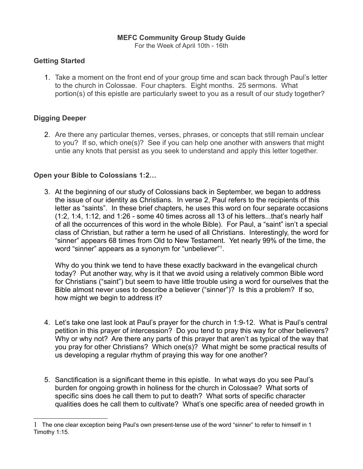# **MEFC Community Group Study Guide**

For the Week of April 10th - 16th

# **Getting Started**

1. Take a moment on the front end of your group time and scan back through Paul's letter to the church in Colossae. Four chapters. Eight months. 25 sermons. What portion(s) of this epistle are particularly sweet to you as a result of our study together?

# **Digging Deeper**

2. Are there any particular themes, verses, phrases, or concepts that still remain unclear to you? If so, which one(s)? See if you can help one another with answers that might untie any knots that persist as you seek to understand and apply this letter together.

# **Open your Bible to Colossians 1:2…**

3. At the beginning of our study of Colossians back in September, we began to address the issue of our identity as Christians. In verse 2, Paul refers to the recipients of this letter as "saints". In these brief chapters, he uses this word on four separate occasions (1:2, 1:4, 1:12, and 1:26 - some 40 times across all 13 of his letters...that's nearly half of all the occurrences of this word in the whole Bible). For Paul, a "saint" isn't a special class of Christian, but rather a term he used of all Christians. Interestingly, the word for "sinner" appears 68 times from Old to New Testament. Yet nearly 99% of the time, the word "sinner" appears as a synonym for "unbeliever"<sup>[1](#page-1-0)</sup>.

Why do you think we tend to have these exactly backward in the evangelical church today? Put another way, why is it that we avoid using a relatively common Bible word for Christians ("saint") but seem to have little trouble using a word for ourselves that the Bible almost never uses to describe a believer ("sinner")? Is this a problem? If so, how might we begin to address it?

- 4. Let's take one last look at Paul's prayer for the church in 1:9-12. What is Paul's central petition in this prayer of intercession? Do you tend to pray this way for other believers? Why or why not? Are there any parts of this prayer that aren't as typical of the way that you pray for other Christians? Which one(s)? What might be some practical results of us developing a regular rhythm of praying this way for one another?
- 5. Sanctification is a significant theme in this epistle. In what ways do you see Paul's burden for ongoing growth in holiness for the church in Colossae? What sorts of specific sins does he call them to put to death? What sorts of specific character qualities does he call them to cultivate? What's one specific area of needed growth in

<span id="page-1-0"></span><sup>1</sup> The one clear exception being Paul's own present-tense use of the word "sinner" to refer to himself in 1 Timothy 1:15.